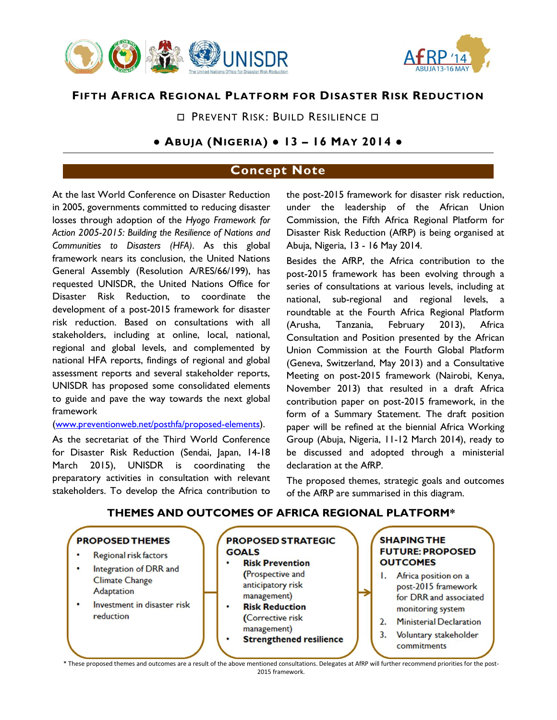



# **FIFTH AFRICA REGIONAL PLATFORM FOR DISASTER RISK REDUCTION**

D PREVENT RISK: BUILD RESILIENCE D

# **● ABUJA (NIGERIA) ● 13 – 16 MAY 2014 ●**

# **Concept Note**

At the last World Conference on Disaster Reduction in 2005, governments committed to reducing disaster losses through adoption of the *Hyogo Framework for Action 2005-2015: Building the Resilience of Nations and Communities to Disasters (HFA)*. As this global framework nears its conclusion, the United Nations General Assembly (Resolution A/RES/66/199), has requested UNISDR, the United Nations Office for Disaster Risk Reduction, to coordinate the development of a post-2015 framework for disaster risk reduction. Based on consultations with all stakeholders, including at online, local, national, regional and global levels, and complemented by national HFA reports, findings of regional and global assessment reports and several stakeholder reports, UNISDR has proposed some consolidated elements to guide and pave the way towards the next global framework

### ([www.preventionweb.net/posthfa/proposed-elements](https://www.preventionweb.net/posthfa/proposed-elements)).

As the secretariat of the Third World Conference for Disaster Risk Reduction (Sendai, Japan, 14-18 March 2015), UNISDR is coordinating the preparatory activities in consultation with relevant stakeholders. To develop the Africa contribution to

the post-2015 framework for disaster risk reduction, under the leadership of the African Union Commission, the Fifth Africa Regional Platform for Disaster Risk Reduction (AfRP) is being organised at Abuja, Nigeria, 13 - 16 May 2014.

Besides the AfRP, the Africa contribution to the post-2015 framework has been evolving through a series of consultations at various levels, including at national, sub-regional and regional levels, a roundtable at the Fourth Africa Regional Platform (Arusha, Tanzania, February 2013), Africa Consultation and Position presented by the African Union Commission at the Fourth Global Platform (Geneva, Switzerland, May 2013) and a Consultative Meeting on post-2015 framework (Nairobi, Kenya, November 2013) that resulted in a draft Africa contribution paper on post-2015 framework, in the form of a Summary Statement. The draft position paper will be refined at the biennial Africa Working Group (Abuja, Nigeria, 11-12 March 2014), ready to be discussed and adopted through a ministerial declaration at the AfRP.

The proposed themes, strategic goals and outcomes of the AfRP are summarised in this diagram.

## **THEMES AND OUTCOMES OF AFRICA REGIONAL PLATFORM\***



\* These proposed themes and outcomes are a result of the above mentioned consultations. Delegates at AfRP will further recommend priorities for the post-2015 framework.